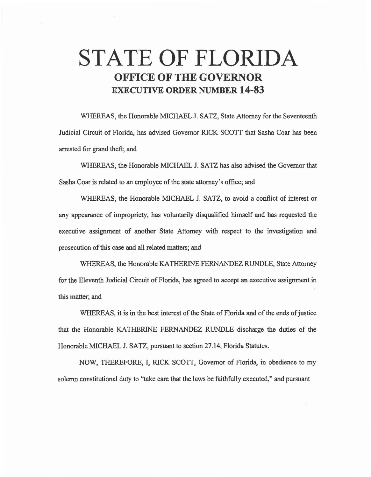# **STATE OF FLORIDA OFFICE OF THE GOVERNOR EXECUTIVE ORDER NUMBER 14-83**

WHEREAS, the Honorable MICHAEL J. SATZ, State Attorney for the Seventeenth Judicial Circuit of Florida, has advised Governor RICK SCOTT that Sasha Coar has been arrested for grand theft; and

WHEREAS, the Honorable MICHAEL J. SATZ has also advised the Governor that Sasha Coar is related to an employee of the state attorney's office; and

WHEREAS, the Honorable MICHAEL J. SATZ, to avoid a conflict of interest or any appearance of impropriety, has voluntarily disqualified himself and has requested the executive assignment of another State Attorney with respect to the investigation and prosecution of this case and all related matters; and

WHEREAS, the Honorable KATHERINE FERNANDEZ RUNDLE, State Attorney for the Eleventh Judicial Circuit of Florida, has agreed to accept an executive assignment in this matter; and

WHEREAS, it is in the best interest of the State of Florida and of the ends of justice that the Honorable KATHERINE FERNANDEZ RUNDLE discharge the duties of the Honorable MICHAEL J. SATZ, pursuant to section 27 .14, Florida Statutes.

NOW, THEREFORE, I, RICK SCOTI, Governor of Florida, in obedience to my solemn constitutional duty to "take care that the laws be faithfully executed," and pursuant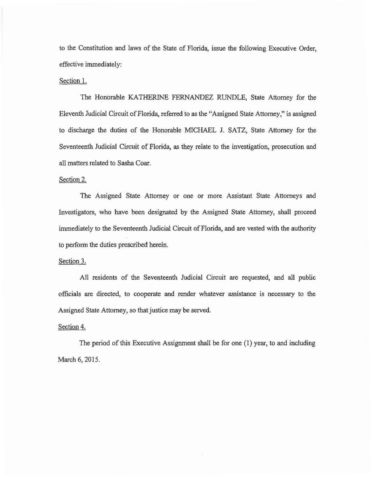to the Constitution and laws of the State of Florida, issue the following Executive Order, effective immediately:

### Section 1.

The Honorable KATHERINE FERNANDEZ RUNDLE, State Attorney for the Eleventh Judicial Circuit of Florida, referred to as the "Assigned State Attorney," is assigned to discharge the duties of the Honorable MICHAEL J. SATZ, State Attorney for the Seventeenth Judicial Circuit of Florida, as they relate to the investigation, prosecution and all matters related to Sasha Coar.

## Section 2.

The Assigned State Attorney or one or more Assistant State Attorneys and Investigators, who have been designated by the Assigned State Attorney, shall proceed immediately to the Seventeenth Judicial Circuit of Florida, and are vested with the authority to perfonn the duties prescribed herein.

### Section 3.

All residents of the Seventeenth Judicial Circuit are requested, and all public officials are directed, to cooperate and render whatever assistance is necessary to the Assigned State Attorney, so that justice may be served.

## Section 4.

The period of this Executive Assignment shall be for one (1) year, to and including March 6, 2015.